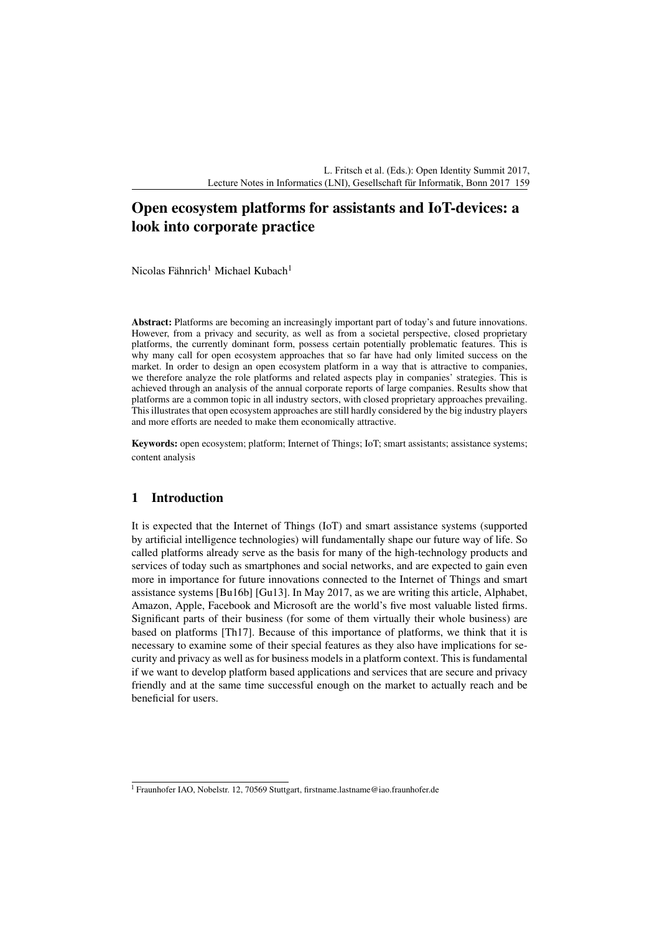L. Fritsch et al. (Eds.): Open Identity Summit 2017, Lecture Notes in Informatics (LNI), Gesellschaft für Informatik, Bonn 2017 159

# Open ecosystem platforms for assistants and IoT-devices: a look into corporate practice

Nicolas Fähnrich<sup>1</sup> Michael Kubach<sup>1</sup>

Abstract: Platforms are becoming an increasingly important part of today's and future innovations. However, from a privacy and security, as well as from a societal perspective, closed proprietary platforms, the currently dominant form, possess certain potentially problematic features. This is why many call for open ecosystem approaches that so far have had only limited success on the market. In order to design an open ecosystem platform in a way that is attractive to companies, we therefore analyze the role platforms and related aspects play in companies' strategies. This is achieved through an analysis of the annual corporate reports of large companies. Results show that platforms are a common topic in all industry sectors, with closed proprietary approaches prevailing. This illustrates that open ecosystem approaches are still hardly considered by the big industry players and more efforts are needed to make them economically attractive.

Keywords: open ecosystem; platform; Internet of Things; IoT; smart assistants; assistance systems; content analysis

## 1 Introduction

It is expected that the Internet of Things (IoT) and smart assistance systems (supported by artificial intelligence technologies) will fundamentally shape our future way of life. So called platforms already serve as the basis for many of the high-technology products and services of today such as smartphones and social networks, and are expected to gain even more in importance for future innovations connected to the Internet of Things and smart assistance systems [Bu16b] [Gu13]. In May 2017, as we are writing this article, Alphabet, Amazon, Apple, Facebook and Microsoft are the world's five most valuable listed firms. Significant parts of their business (for some of them virtually their whole business) are based on platforms [Th17]. Because of this importance of platforms, we think that it is necessary to examine some of their special features as they also have implications for security and privacy as well as for business models in a platform context. This is fundamental if we want to develop platform based applications and services that are secure and privacy friendly and at the same time successful enough on the market to actually reach and be beneficial for users.

<sup>&</sup>lt;sup>1</sup> Fraunhofer IAO, Nobelstr. 12, 70569 Stuttgart, firstname.lastname@iao.fraunhofer.de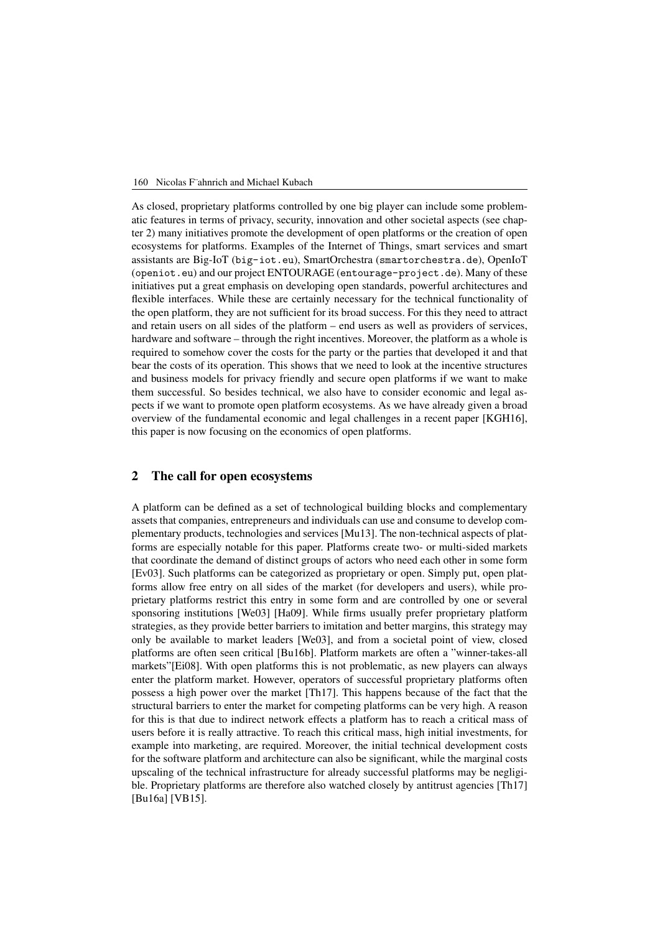#### 160 Nicolas F¨ahnrich and Michael Kubach

As closed, proprietary platforms controlled by one big player can include some problematic features in terms of privacy, security, innovation and other societal aspects (see chapter 2) many initiatives promote the development of open platforms or the creation of open ecosystems for platforms. Examples of the Internet of Things, smart services and smart assistants are Big-IoT (big-iot.eu), SmartOrchestra (smartorchestra.de), OpenIoT (openiot.eu) and our project ENTOURAGE (entourage-project.de). Many of these initiatives put a great emphasis on developing open standards, powerful architectures and flexible interfaces. While these are certainly necessary for the technical functionality of the open platform, they are not sufficient for its broad success. For this they need to attract and retain users on all sides of the platform – end users as well as providers of services, hardware and software – through the right incentives. Moreover, the platform as a whole is required to somehow cover the costs for the party or the parties that developed it and that bear the costs of its operation. This shows that we need to look at the incentive structures and business models for privacy friendly and secure open platforms if we want to make them successful. So besides technical, we also have to consider economic and legal aspects if we want to promote open platform ecosystems. As we have already given a broad overview of the fundamental economic and legal challenges in a recent paper [KGH16], this paper is now focusing on the economics of open platforms.

#### 2 The call for open ecosystems

A platform can be defined as a set of technological building blocks and complementary assets that companies, entrepreneurs and individuals can use and consume to develop complementary products, technologies and services [Mu13]. The non-technical aspects of platforms are especially notable for this paper. Platforms create two- or multi-sided markets that coordinate the demand of distinct groups of actors who need each other in some form [Ev03]. Such platforms can be categorized as proprietary or open. Simply put, open platforms allow free entry on all sides of the market (for developers and users), while proprietary platforms restrict this entry in some form and are controlled by one or several sponsoring institutions [We03] [Ha09]. While firms usually prefer proprietary platform strategies, as they provide better barriers to imitation and better margins, this strategy may only be available to market leaders [We03], and from a societal point of view, closed platforms are often seen critical [Bu16b]. Platform markets are often a "winner-takes-all markets"[Ei08]. With open platforms this is not problematic, as new players can always enter the platform market. However, operators of successful proprietary platforms often possess a high power over the market [Th17]. This happens because of the fact that the structural barriers to enter the market for competing platforms can be very high. A reason for this is that due to indirect network effects a platform has to reach a critical mass of users before it is really attractive. To reach this critical mass, high initial investments, for example into marketing, are required. Moreover, the initial technical development costs for the software platform and architecture can also be significant, while the marginal costs upscaling of the technical infrastructure for already successful platforms may be negligible. Proprietary platforms are therefore also watched closely by antitrust agencies [Th17] [Bu16a] [VB15].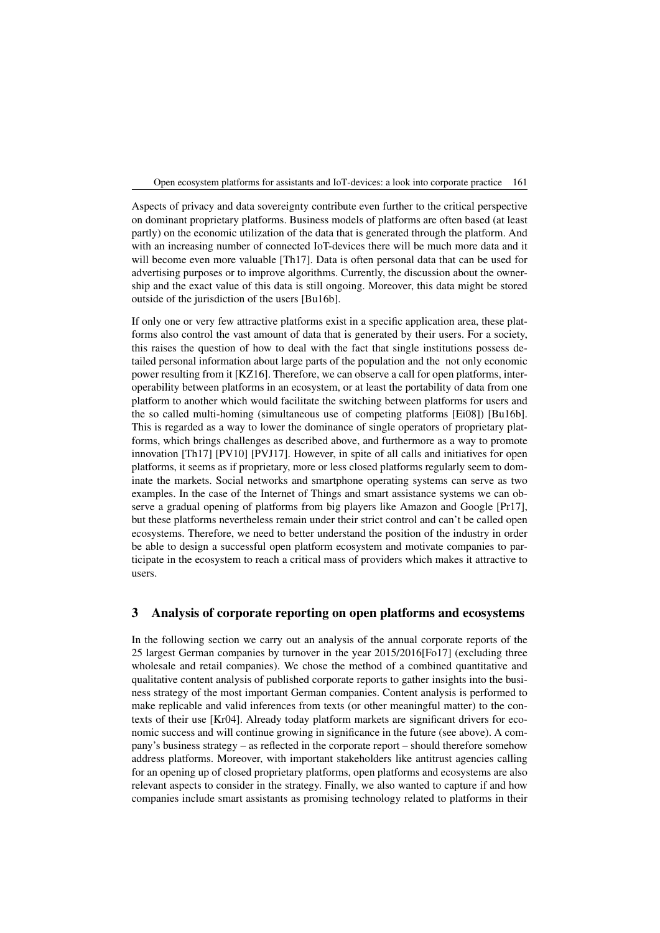Open ecosystem platforms for assistants and IoT-devices: a look into corporate practice 161

Aspects of privacy and data sovereignty contribute even further to the critical perspective on dominant proprietary platforms. Business models of platforms are often based (at least partly) on the economic utilization of the data that is generated through the platform. And with an increasing number of connected IoT-devices there will be much more data and it will become even more valuable [Th17]. Data is often personal data that can be used for advertising purposes or to improve algorithms. Currently, the discussion about the ownership and the exact value of this data is still ongoing. Moreover, this data might be stored outside of the jurisdiction of the users [Bu16b].

If only one or very few attractive platforms exist in a specific application area, these platforms also control the vast amount of data that is generated by their users. For a society, this raises the question of how to deal with the fact that single institutions possess detailed personal information about large parts of the population and the not only economic power resulting from it [KZ16]. Therefore, we can observe a call for open platforms, interoperability between platforms in an ecosystem, or at least the portability of data from one platform to another which would facilitate the switching between platforms for users and the so called multi-homing (simultaneous use of competing platforms [Ei08]) [Bu16b]. This is regarded as a way to lower the dominance of single operators of proprietary platforms, which brings challenges as described above, and furthermore as a way to promote innovation [Th17] [PV10] [PVJ17]. However, in spite of all calls and initiatives for open platforms, it seems as if proprietary, more or less closed platforms regularly seem to dominate the markets. Social networks and smartphone operating systems can serve as two examples. In the case of the Internet of Things and smart assistance systems we can observe a gradual opening of platforms from big players like Amazon and Google [Pr17], but these platforms nevertheless remain under their strict control and can't be called open ecosystems. Therefore, we need to better understand the position of the industry in order be able to design a successful open platform ecosystem and motivate companies to participate in the ecosystem to reach a critical mass of providers which makes it attractive to users.

### 3 Analysis of corporate reporting on open platforms and ecosystems

In the following section we carry out an analysis of the annual corporate reports of the 25 largest German companies by turnover in the year 2015/2016[Fo17] (excluding three wholesale and retail companies). We chose the method of a combined quantitative and qualitative content analysis of published corporate reports to gather insights into the business strategy of the most important German companies. Content analysis is performed to make replicable and valid inferences from texts (or other meaningful matter) to the contexts of their use [Kr04]. Already today platform markets are significant drivers for economic success and will continue growing in significance in the future (see above). A company's business strategy – as reflected in the corporate report – should therefore somehow address platforms. Moreover, with important stakeholders like antitrust agencies calling for an opening up of closed proprietary platforms, open platforms and ecosystems are also relevant aspects to consider in the strategy. Finally, we also wanted to capture if and how companies include smart assistants as promising technology related to platforms in their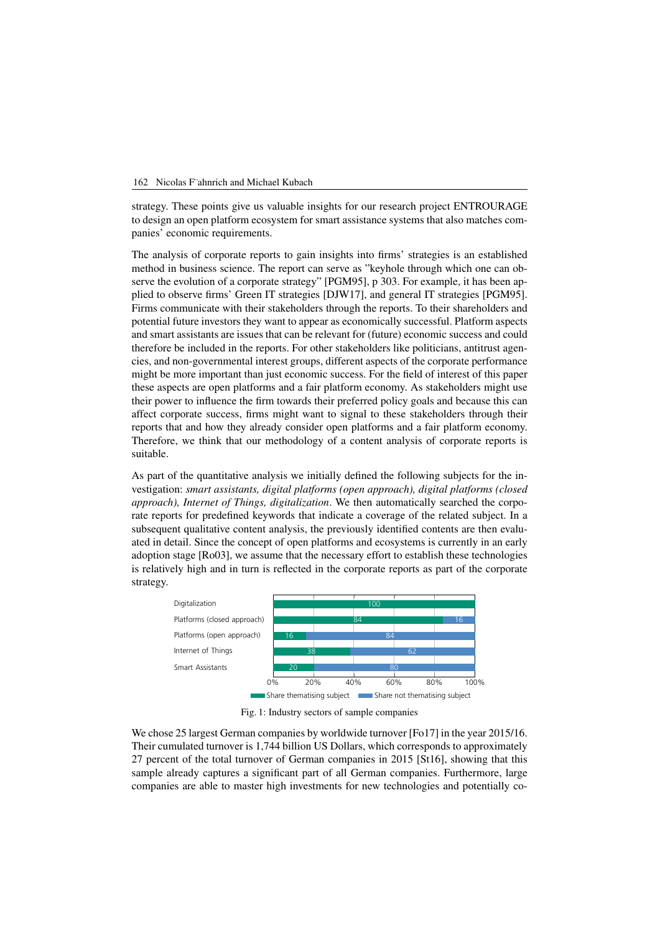

strategy. These points give us valuable insights for our research project ENTROURAGE to design an open platform ecosystem for smart assistance systems that also matches companies' economic requirements.

The analysis of corporate reports to gain insights into firms' strategies is an established method in business science. The report can serve as "keyhole through which one can observe the evolution of a corporate strategy" [PGM95], p 303. For example, it has been applied to observe firms' Green IT strategies [DJW17], and general IT strategies [PGM95]. Firms communicate with their stakeholders through the reports. To their shareholders and potential future investors they want to appear as economically successful. Platform aspects and smart assistants are issues that can be relevant for (future) economic success and could therefore be included in the reports. For other stakeholders like politicians, antitrust agencies, and non-governmental interest groups, different aspects of the corporate performance might be more important than just economic success. For the field of interest of this paper these aspects are open platforms and a fair platform economy. As stakeholders might use their power to influence the firm towards their preferred policy goals and because this can affect corporate success, firms might want to signal to these stakeholders through their reports that and how they already consider open platforms and a fair platform economy. Therefore, we think that our methodology of a content analysis of corporate reports is suitable.

As part of the quantitative analysis we initially defined the following subjects for the investigation: *smart assistants, digital platforms (open approach), digital platforms (closed approach), Internet of Things, digitalization*. We then automatically searched the corporate reports for predefined keywords that indicate a coverage of the related subject. In a subsequent qualitative content analysis, the previously identified contents are then evaluated in detail. Since the concept of open platforms and ecosystems is currently in an early adoption stage [Ro03], we assume that the necessary effort to establish these technologies is relatively high and in turn is reflected in the corporate reports as part of the corporate strategy.



Fig. 1: Industry sectors of sample companies

We chose 25 largest German companies by worldwide turnover [Fo17] in the year 2015/16. Their cumulated turnover is 1,744 billion US Dollars, which corresponds to approximately 27 percent of the total turnover of German companies in 2015 [St16], showing that this sample already captures a significant part of all German companies. Furthermore, large companies are able to master high investments for new technologies and potentially co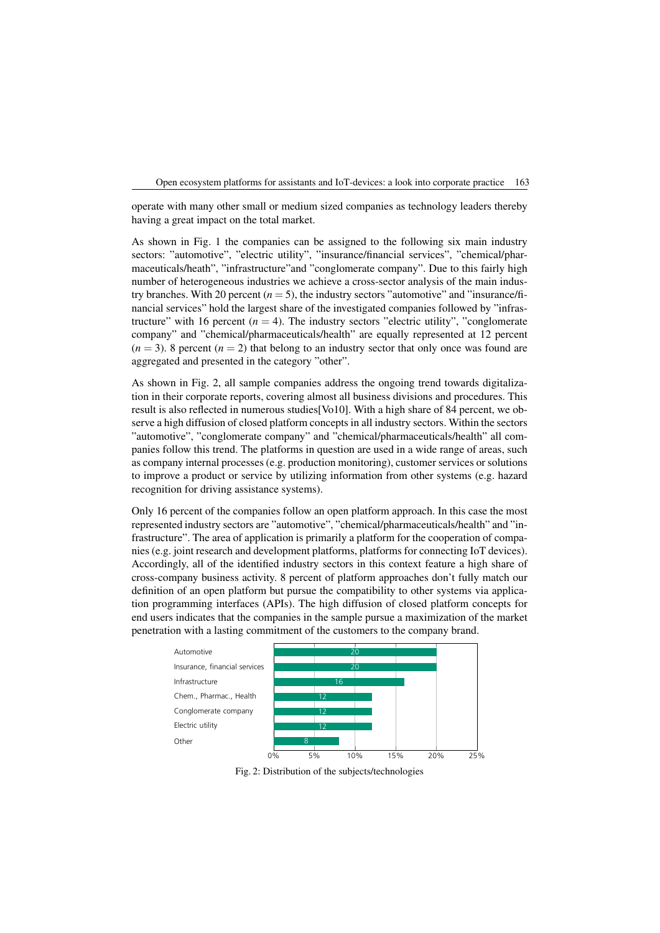Open ecosystem platforms for assistants and IoT-devices: a look into corporate practice 163

operate with many other small or medium sized companies as technology leaders thereby having a great impact on the total market.

As shown in Fig. 1 the companies can be assigned to the following six main industry sectors: "automotive", "electric utility", "insurance/financial services", "chemical/pharmaceuticals/heath", "infrastructure"and "conglomerate company". Due to this fairly high number of heterogeneous industries we achieve a cross-sector analysis of the main industry branches. With 20 percent  $(n = 5)$ , the industry sectors "automotive" and "insurance/financial services" hold the largest share of the investigated companies followed by "infrastructure" with 16 percent  $(n = 4)$ . The industry sectors "electric utility", "conglomerate company" and "chemical/pharmaceuticals/health" are equally represented at 12 percent  $(n = 3)$ . 8 percent  $(n = 2)$  that belong to an industry sector that only once was found are aggregated and presented in the category "other".

As shown in Fig. 2, all sample companies address the ongoing trend towards digitalization in their corporate reports, covering almost all business divisions and procedures. This result is also reflected in numerous studies[Vo10]. With a high share of 84 percent, we observe a high diffusion of closed platform concepts in all industry sectors. Within the sectors "automotive", "conglomerate company" and "chemical/pharmaceuticals/health" all companies follow this trend. The platforms in question are used in a wide range of areas, such as company internal processes (e.g. production monitoring), customer services or solutions to improve a product or service by utilizing information from other systems (e.g. hazard recognition for driving assistance systems).

Only 16 percent of the companies follow an open platform approach. In this case the most represented industry sectors are "automotive", "chemical/pharmaceuticals/health" and "infrastructure". The area of application is primarily a platform for the cooperation of companies (e.g. joint research and development platforms, platforms for connecting IoT devices). Accordingly, all of the identified industry sectors in this context feature a high share of cross-company business activity. 8 percent of platform approaches don't fully match our definition of an open platform but pursue the compatibility to other systems via application programming interfaces (APIs). The high diffusion of closed platform concepts for end users indicates that the companies in the sample pursue a maximization of the market penetration with a lasting commitment of the customers to the company brand.



Fig. 2: Distribution of the subjects/technologies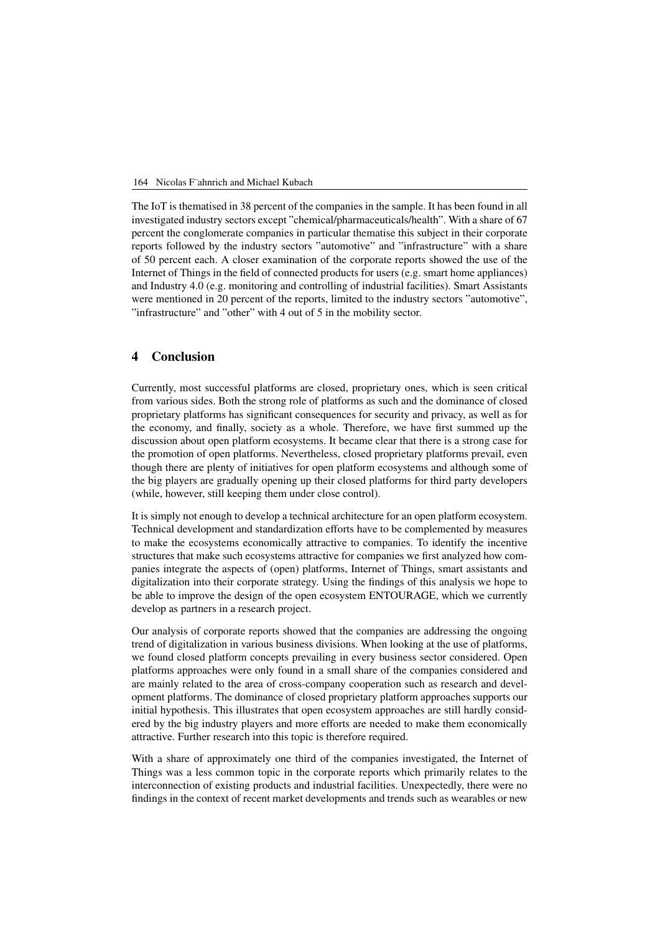#### 164 Nicolas F¨ahnrich and Michael Kubach

The IoT is thematised in 38 percent of the companies in the sample. It has been found in all investigated industry sectors except "chemical/pharmaceuticals/health". With a share of 67 percent the conglomerate companies in particular thematise this subject in their corporate reports followed by the industry sectors "automotive" and "infrastructure" with a share of 50 percent each. A closer examination of the corporate reports showed the use of the Internet of Things in the field of connected products for users (e.g. smart home appliances) and Industry 4.0 (e.g. monitoring and controlling of industrial facilities). Smart Assistants were mentioned in 20 percent of the reports, limited to the industry sectors "automotive", "infrastructure" and "other" with 4 out of 5 in the mobility sector.

### 4 Conclusion

Currently, most successful platforms are closed, proprietary ones, which is seen critical from various sides. Both the strong role of platforms as such and the dominance of closed proprietary platforms has significant consequences for security and privacy, as well as for the economy, and finally, society as a whole. Therefore, we have first summed up the discussion about open platform ecosystems. It became clear that there is a strong case for the promotion of open platforms. Nevertheless, closed proprietary platforms prevail, even though there are plenty of initiatives for open platform ecosystems and although some of the big players are gradually opening up their closed platforms for third party developers (while, however, still keeping them under close control).

It is simply not enough to develop a technical architecture for an open platform ecosystem. Technical development and standardization efforts have to be complemented by measures to make the ecosystems economically attractive to companies. To identify the incentive structures that make such ecosystems attractive for companies we first analyzed how companies integrate the aspects of (open) platforms, Internet of Things, smart assistants and digitalization into their corporate strategy. Using the findings of this analysis we hope to be able to improve the design of the open ecosystem ENTOURAGE, which we currently develop as partners in a research project.

Our analysis of corporate reports showed that the companies are addressing the ongoing trend of digitalization in various business divisions. When looking at the use of platforms, we found closed platform concepts prevailing in every business sector considered. Open platforms approaches were only found in a small share of the companies considered and are mainly related to the area of cross-company cooperation such as research and development platforms. The dominance of closed proprietary platform approaches supports our initial hypothesis. This illustrates that open ecosystem approaches are still hardly considered by the big industry players and more efforts are needed to make them economically attractive. Further research into this topic is therefore required.

With a share of approximately one third of the companies investigated, the Internet of Things was a less common topic in the corporate reports which primarily relates to the interconnection of existing products and industrial facilities. Unexpectedly, there were no findings in the context of recent market developments and trends such as wearables or new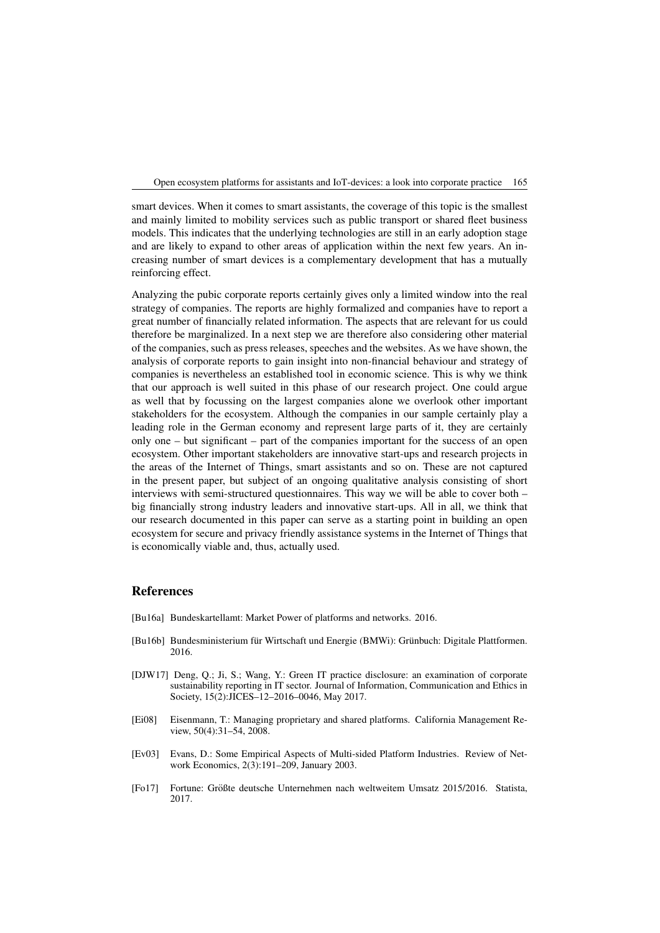Open ecosystem platforms for assistants and IoT-devices: a look into corporate practice 165

smart devices. When it comes to smart assistants, the coverage of this topic is the smallest and mainly limited to mobility services such as public transport or shared fleet business models. This indicates that the underlying technologies are still in an early adoption stage and are likely to expand to other areas of application within the next few years. An increasing number of smart devices is a complementary development that has a mutually reinforcing effect.

Analyzing the pubic corporate reports certainly gives only a limited window into the real strategy of companies. The reports are highly formalized and companies have to report a great number of financially related information. The aspects that are relevant for us could therefore be marginalized. In a next step we are therefore also considering other material of the companies, such as press releases, speeches and the websites. As we have shown, the analysis of corporate reports to gain insight into non-financial behaviour and strategy of companies is nevertheless an established tool in economic science. This is why we think that our approach is well suited in this phase of our research project. One could argue as well that by focussing on the largest companies alone we overlook other important stakeholders for the ecosystem. Although the companies in our sample certainly play a leading role in the German economy and represent large parts of it, they are certainly only one – but significant – part of the companies important for the success of an open ecosystem. Other important stakeholders are innovative start-ups and research projects in the areas of the Internet of Things, smart assistants and so on. These are not captured in the present paper, but subject of an ongoing qualitative analysis consisting of short interviews with semi-structured questionnaires. This way we will be able to cover both – big financially strong industry leaders and innovative start-ups. All in all, we think that our research documented in this paper can serve as a starting point in building an open ecosystem for secure and privacy friendly assistance systems in the Internet of Things that is economically viable and, thus, actually used.

### References

- [Bu16a] Bundeskartellamt: Market Power of platforms and networks. 2016.
- [Bu16b] Bundesministerium für Wirtschaft und Energie (BMWi): Grünbuch: Digitale Plattformen. 2016.
- [DJW17] Deng, Q.; Ji, S.; Wang, Y.: Green IT practice disclosure: an examination of corporate sustainability reporting in IT sector. Journal of Information, Communication and Ethics in Society, 15(2):JICES–12–2016–0046, May 2017.
- [Ei08] Eisenmann, T.: Managing proprietary and shared platforms. California Management Review, 50(4):31–54, 2008.
- [Ev03] Evans, D.: Some Empirical Aspects of Multi-sided Platform Industries. Review of Network Economics, 2(3):191–209, January 2003.
- [Fo17] Fortune: Großte deutsche Unternehmen nach weltweitem Umsatz 2015/2016. Statista, ¨ 2017.